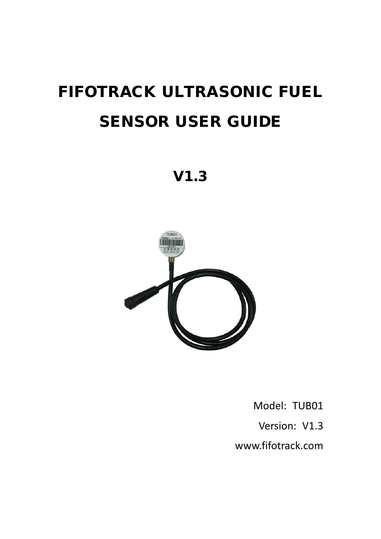# FIFOTRACK ULTRASONIC FUEL SENSOR USER GUIDE

V1.3



Model: TUB01

Version: V1.3

[www.fifotrack.com](http://www.fifotrack.com/)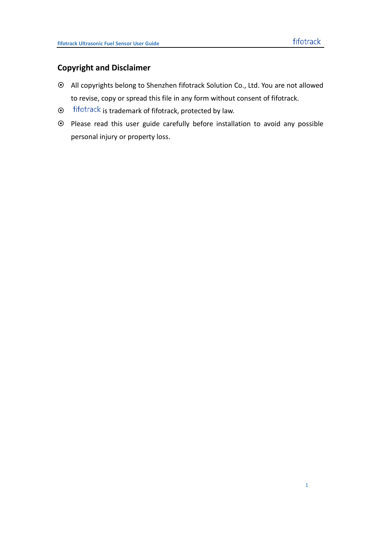### **Copyright and Disclaimer**

- All copyrights belong to Shenzhen fifotrack Solution Co., Ltd. You are not allowed to revise, copy or spread this file in any form without consent of fifotrack.
- $\odot$  fifotrack is trademark of fifotrack, protected by law.
- Please read this user guide carefully before installation to avoid any possible personal injury or property loss.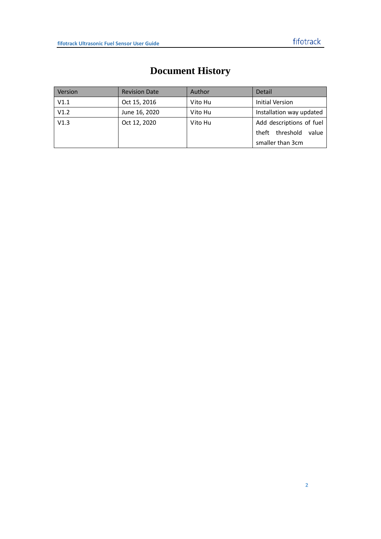<span id="page-2-0"></span>

| Version | <b>Revision Date</b> | Author  | Detail                      |  |
|---------|----------------------|---------|-----------------------------|--|
| V1.1    | Oct 15, 2016         | Vito Hu | <b>Initial Version</b>      |  |
| V1.2    | June 16, 2020        | Vito Hu | Installation way updated    |  |
| V1.3    | Oct 12, 2020         | Vito Hu | Add descriptions of fuel    |  |
|         |                      |         | threshold<br>theft<br>value |  |
|         |                      |         | smaller than 3cm            |  |

# **Document History**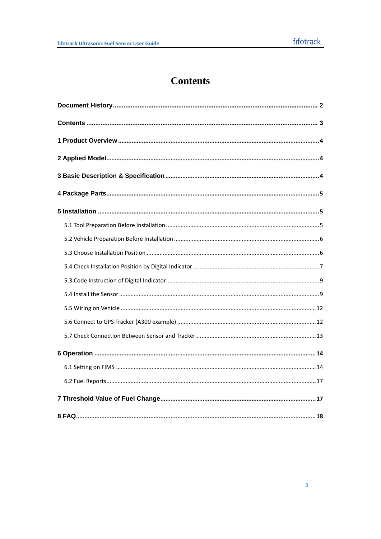# **Contents**

<span id="page-3-0"></span>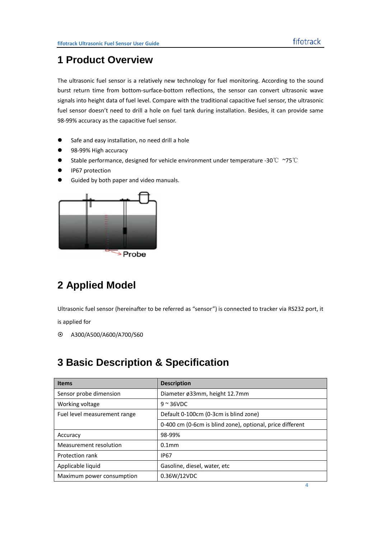### <span id="page-4-0"></span>**1 Product Overview**

The ultrasonic fuel sensor is a relatively new technology for fuel monitoring. According to the sound burst return time from bottom-surface-bottom reflections, the sensor can convert ultrasonic wave signals into height data of fuel level. Compare with the traditional capacitive fuel sensor, the ultrasonic fuel sensor doesn't need to drill a hole on fuel tank during installation. Besides, it can provide same 98-99% accuracy as the capacitive fuel sensor.

- **•** Safe and easy installation, no need drill a hole
- 98-99% High accuracy
- Stable performance, designed for vehicle environment under temperature -30℃ ~75℃
- **•** IP67 protection
- **Guided by both paper and video manuals.**



# <span id="page-4-1"></span>**2 Applied Model**

Ultrasonic fuel sensor (hereinafter to be referred as "sensor") is connected to tracker via RS232 port, it

is applied for

<span id="page-4-2"></span>A300/A500/A600/A700/S60

## **3 Basic Description & Specification**

| <b>Items</b>                 | <b>Description</b>                                        |
|------------------------------|-----------------------------------------------------------|
| Sensor probe dimension       | Diameter ø33mm, height 12.7mm                             |
| Working voltage              | $9 \approx 36$ VDC                                        |
| Fuel level measurement range | Default 0-100cm (0-3cm is blind zone)                     |
|                              | 0-400 cm (0-6cm is blind zone), optional, price different |
| Accuracy                     | 98-99%                                                    |
| Measurement resolution       | $0.1$ mm                                                  |
| Protection rank              | <b>IP67</b>                                               |
| Applicable liquid            | Gasoline, diesel, water, etc                              |
| Maximum power consumption    | 0.36W/12VDC                                               |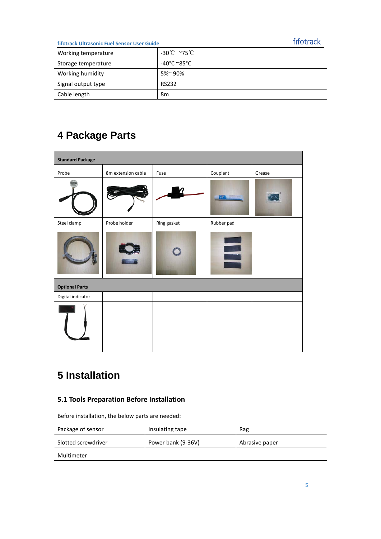### fifotrack

### **fifotrack Ultrasonic Fuel Sensor User Guide**

| Working temperature | -30℃ ~75℃             |
|---------------------|-----------------------|
| Storage temperature | -40°C $^{\circ}$ 85°C |
| Working humidity    | 5%~90%                |
| Signal output type  | <b>RS232</b>          |
| Cable length        | 8m                    |

# <span id="page-5-0"></span>**4 Package Parts**

| <b>Standard Package</b> |                    |             |            |        |  |  |  |
|-------------------------|--------------------|-------------|------------|--------|--|--|--|
| Probe                   | 8m extension cable | Fuse        | Couplant   | Grease |  |  |  |
|                         |                    |             |            |        |  |  |  |
| Steel clamp             | Probe holder       | Ring gasket | Rubber pad |        |  |  |  |
|                         |                    |             | E          |        |  |  |  |
| <b>Optional Parts</b>   |                    |             |            |        |  |  |  |
| Digital indicator       |                    |             |            |        |  |  |  |
|                         |                    |             |            |        |  |  |  |

# <span id="page-5-1"></span>**5 Installation**

### <span id="page-5-2"></span>**5.1 Tools Preparation Before Installation**

| Before installation, the below parts are needed: |  |  |  |
|--------------------------------------------------|--|--|--|
|                                                  |  |  |  |

| Package of sensor   | Insulating tape    | Rag            |
|---------------------|--------------------|----------------|
| Slotted screwdriver | Power bank (9-36V) | Abrasive paper |
| Multimeter          |                    |                |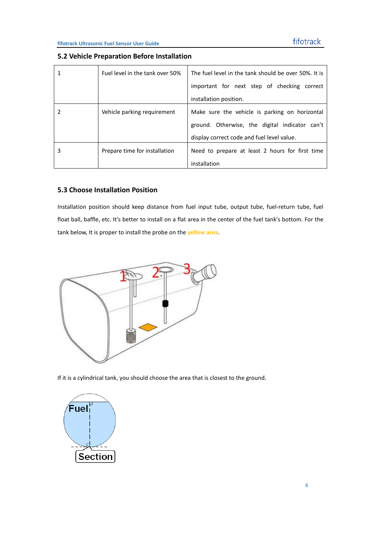<span id="page-6-0"></span>

| 5.2 Vehicle Preparation Before Installation |  |
|---------------------------------------------|--|
|---------------------------------------------|--|

|   | Fuel level in the tank over 50% | The fuel level in the tank should be over 50%. It is |
|---|---------------------------------|------------------------------------------------------|
|   |                                 | important for next step of checking correct          |
|   |                                 | installation position.                               |
|   | Vehicle parking requirement     | Make sure the vehicle is parking on horizontal       |
|   |                                 | ground. Otherwise, the digital indicator can't       |
|   |                                 | display correct code and fuel level value.           |
| 3 | Prepare time for installation   | Need to prepare at least 2 hours for first time      |
|   |                                 | installation                                         |

### <span id="page-6-1"></span>**5.3 Choose Installation Position**

Installation position should keep distance from fuel input tube, output tube, fuel-return tube, fuel float ball, baffle, etc. It's better to install on a flat area in the center of the fuel tank's bottom. For the tank below, It is proper to install the probe on the **yellow area**.



If it is a cylindrical tank, you should choose the area that is closest to the ground.

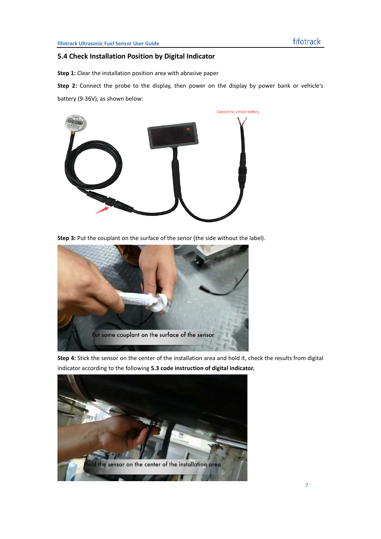### <span id="page-7-0"></span>**5.4 Check Installation Position by Digital Indicator**

**Step 1:** Clear the installation position area with abrasive paper

**Step 2:** Connect the probe to the display, then power on the display by power bank or vehicle's battery (9-36V), as shown below:



Step 3: Put the couplant on the surface of the senor (the side without the label).



**Step 4:** Stick the sensor on the center of the installation area and hold it, check the results from digital indicator according to the following **5.3 code instruction of digital indicator.** 

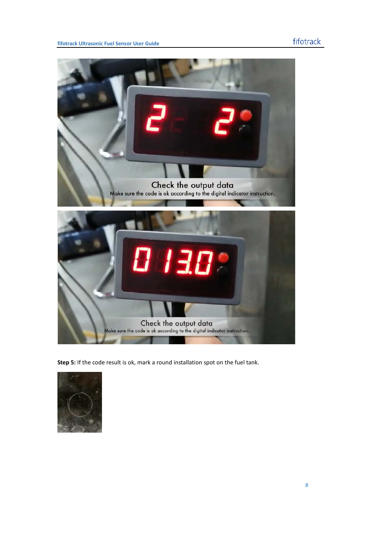

**Step 5:** If the code result is ok, mark a round installation spot on the fuel tank.

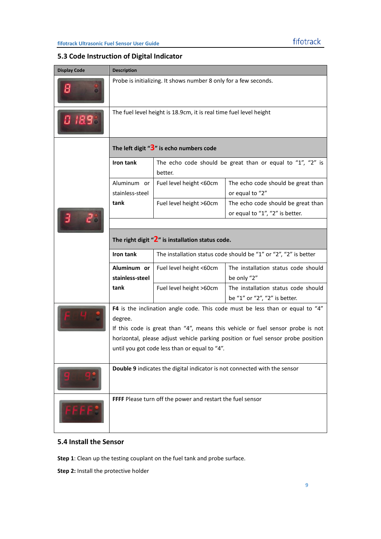### <span id="page-9-0"></span>**5.3 Code Instruction of Digital Indicator**

| <b>Display Code</b> | <b>Description</b>                                                        |                                                                       |                                                                                  |  |  |  |
|---------------------|---------------------------------------------------------------------------|-----------------------------------------------------------------------|----------------------------------------------------------------------------------|--|--|--|
| Β                   | Probe is initializing. It shows number 8 only for a few seconds.          |                                                                       |                                                                                  |  |  |  |
| 0 1898              | The fuel level height is 18.9cm, it is real time fuel level height        |                                                                       |                                                                                  |  |  |  |
|                     |                                                                           | The left digit " $3$ " is echo numbers code                           |                                                                                  |  |  |  |
|                     | Iron tank                                                                 | The echo code should be great than or equal to "1", "2" is<br>better. |                                                                                  |  |  |  |
|                     | Aluminum or<br>stainless-steel                                            | Fuel level height <60cm                                               | The echo code should be great than<br>or equal to "2"                            |  |  |  |
|                     | tank                                                                      | The echo code should be great than<br>or equal to "1", "2" is better. |                                                                                  |  |  |  |
|                     |                                                                           |                                                                       |                                                                                  |  |  |  |
|                     |                                                                           | The right digit " $2$ " is installation status code.                  |                                                                                  |  |  |  |
|                     | Iron tank                                                                 |                                                                       | The installation status code should be "1" or "2", "2" is better                 |  |  |  |
|                     | Aluminum or<br>stainless-steel                                            | Fuel level height <60cm                                               | The installation status code should<br>be only "2"                               |  |  |  |
|                     | tank                                                                      | Fuel level height >60cm                                               | The installation status code should<br>be "1" or "2", "2" is better.             |  |  |  |
|                     |                                                                           |                                                                       | F4 is the inclination angle code. This code must be less than or equal to "4"    |  |  |  |
|                     | degree.                                                                   |                                                                       | If this code is great than "4", means this vehicle or fuel sensor probe is not   |  |  |  |
|                     |                                                                           |                                                                       | horizontal, please adjust vehicle parking position or fuel sensor probe position |  |  |  |
|                     |                                                                           | until you got code less than or equal to "4".                         |                                                                                  |  |  |  |
|                     | Double 9 indicates the digital indicator is not connected with the sensor |                                                                       |                                                                                  |  |  |  |
|                     |                                                                           | FFFF Please turn off the power and restart the fuel sensor            |                                                                                  |  |  |  |

### <span id="page-9-1"></span>**5.4 Install the Sensor**

**Step 1**: Clean up the testing couplant on the fuel tank and probe surface.

**Step 2:** Install the protective holder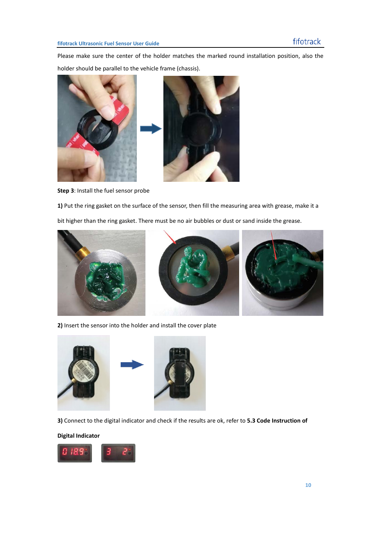Please make sure the center of the holder matches the marked round installation position, also the holder should be parallel to the vehicle frame (chassis).





**Step 3**: Install the fuel sensor probe

**1)** Put the ring gasket on the surface of the sensor, then fill the measuring area with grease, make it a bit higher than the ring gasket. There must be no air bubbles or dust or sand inside the grease.







**2)** Insert the sensor into the holder and install the cover plate



**3)** Connect to the digital indicator and check if the results are ok, refer to **5.3 Code Instruction of** 

#### **Digital Indicator**

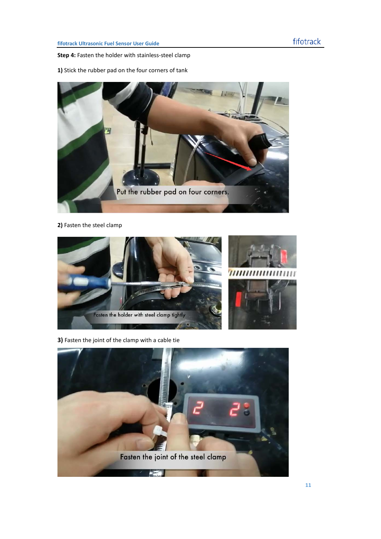**Step 4:** Fasten the holder with stainless-steel clamp

**1)** Stick the rubber pad on the four corners of tank



### **2)** Fasten the steel clamp



**3)** Fasten the joint of the clamp with a cable tie

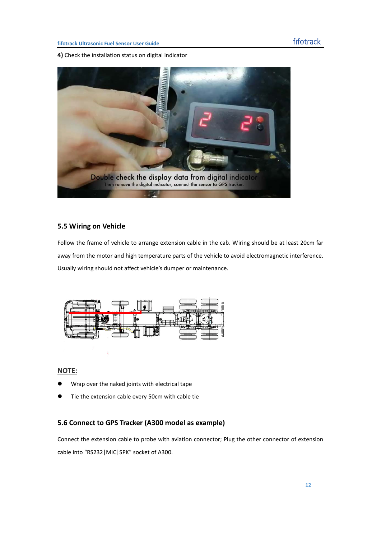**4)** Check the installation status on digital indicator



### <span id="page-12-0"></span>**5.5 Wiring on Vehicle**

Follow the frame of vehicle to arrange extension cable in the cab. Wiring should be at least 20cm far away from the motor and high temperature parts of the vehicle to avoid electromagnetic interference. Usually wiring should not affect vehicle's dumper or maintenance.



### **NOTE:**

- Wrap over the naked joints with electrical tape
- Tie the extension cable every 50cm with cable tie

### <span id="page-12-1"></span>**5.6 Connect to GPS Tracker (A300 model as example)**

Connect the extension cable to probe with aviation connector; Plug the other connector of extension cable into "RS232|MIC|SPK" socket of A300.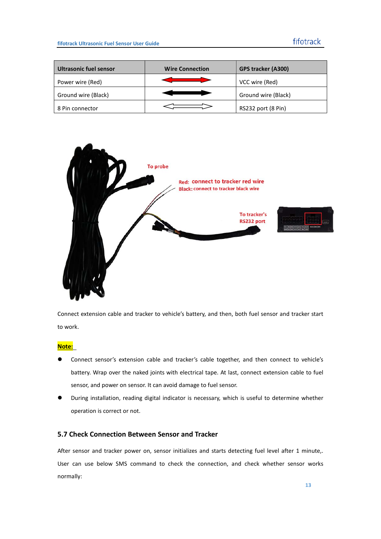| <b>Ultrasonic fuel sensor</b> | <b>Wire Connection</b> | <b>GPS tracker (A300)</b> |
|-------------------------------|------------------------|---------------------------|
| Power wire (Red)              |                        | VCC wire (Red)            |
| Ground wire (Black)           |                        | Ground wire (Black)       |
| 8 Pin connector               |                        | RS232 port (8 Pin)        |



Connect extension cable and tracker to vehicle's battery, and then, both fuel sensor and tracker start to work.

**Note:**

- Connect sensor's extension cable and tracker's cable together, and then connect to vehicle's battery. Wrap over the naked joints with electrical tape. At last, connect extension cable to fuel sensor, and power on sensor. It can avoid damage to fuel sensor.
- During installation, reading digital indicator is necessary, which is useful to determine whether operation is correct or not.

### <span id="page-13-0"></span>**5.7 Check Connection Between Sensor and Tracker**

After sensor and tracker power on, sensor initializes and starts detecting fuel level after 1 minute,. User can use below SMS command to check the connection, and check whether sensor works normally: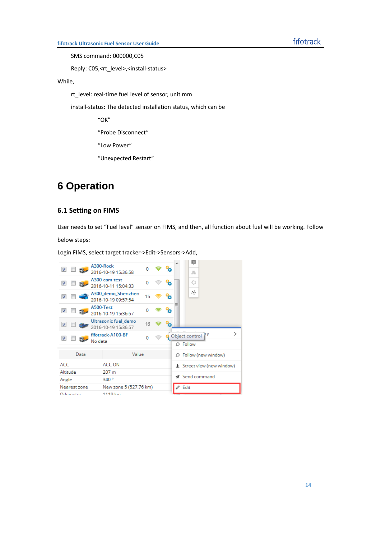SMS command: 000000,C05

Reply: C05,<rt\_level>,<install-status>

### While,

rt\_level: real-time fuel level of sensor, unit mm

install-status: The detected installation status, which can be

"OK"

"Probe Disconnect"

"Low Power"

"Unexpected Restart"

### <span id="page-14-0"></span>**6 Operation**

### <span id="page-14-1"></span>**6.1 Setting on FIMS**

User needs to set "Fuel level" sensor on FIMS, and then, all function about fuel will be working. Follow

below steps:

Login FIMS, select target tracker->Edit->Sensors->Add,

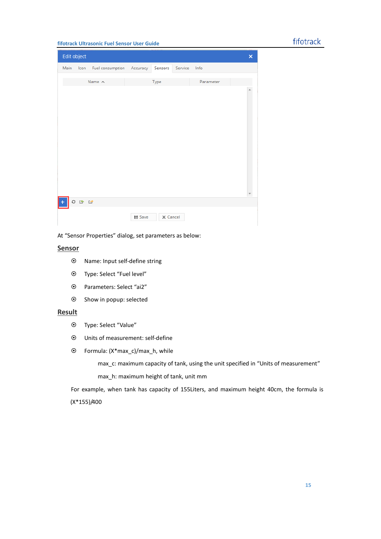### fifotrack

#### **fifotrack Ultrasonic Fuel Sensor User Guide**

|                    | Edit object |                           |               |                 |              |           | × |
|--------------------|-------------|---------------------------|---------------|-----------------|--------------|-----------|---|
|                    | Main Icon   | Fuel consumption Accuracy |               | Sensors         | Service Info |           |   |
|                    |             | Name $\wedge$             |               | Type            |              | Parameter |   |
|                    |             |                           |               |                 |              |           |   |
|                    |             |                           |               |                 |              |           |   |
| $\left  + \right $ | 0 0 0       |                           |               |                 |              |           |   |
|                    |             |                           | <b>■ Save</b> | $\times$ Cancel |              |           |   |

At "Sensor Properties" dialog, set parameters as below:

### **Sensor**

- Name: Input self-define string
- Type: Select "Fuel level"
- Parameters: Select "ai2"
- Show in popup: selected

### **Result**

- Type: Select "Value"
- Units of measurement: self-define
- Formula: (X\*max\_c)/max\_h, while

max\_c: maximum capacity of tank, using the unit specified in "Units of measurement"

max\_h: maximum height of tank, unit mm

For example, when tank has capacity of 155Liters, and maximum height 40cm, the formula is (X\*155)/400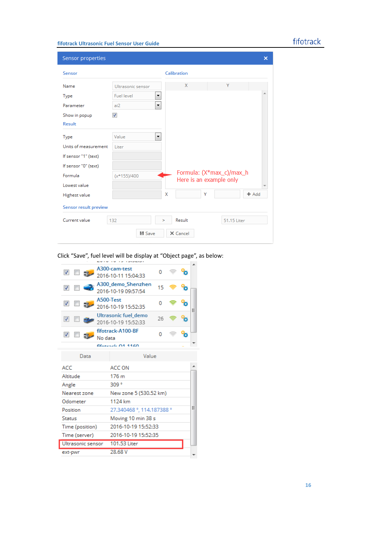### fifotrack

### **fifotrack Ultrasonic Fuel Sensor User Guide**

| Sensor properties     |                                 |             |        |                                                     | ×       |  |  |
|-----------------------|---------------------------------|-------------|--------|-----------------------------------------------------|---------|--|--|
| Sensor                |                                 | Calibration |        |                                                     |         |  |  |
| Name                  | Ultrasonic sensor               |             | X      | Y                                                   |         |  |  |
| Type                  | <b>Fuel level</b><br>۳          |             |        |                                                     |         |  |  |
| Parameter             | $\overline{\phantom{a}}$<br>ai2 |             |        |                                                     |         |  |  |
| Show in popup         | $\overline{\mathbf{v}}$         |             |        |                                                     |         |  |  |
| <b>Result</b>         |                                 |             |        |                                                     |         |  |  |
| Type                  | Value<br>۳                      |             |        |                                                     |         |  |  |
| Units of measurement  | Liter                           |             |        |                                                     |         |  |  |
| If sensor "1" (text)  |                                 |             |        |                                                     |         |  |  |
| If sensor "0" (text)  |                                 |             |        |                                                     |         |  |  |
| Formula               | $(x*155)/400$                   |             |        | Formula: (X*max_c)/max_h<br>Here is an example only |         |  |  |
| Lowest value          |                                 |             |        |                                                     |         |  |  |
| <b>Highest value</b>  |                                 | X           | Y      |                                                     | $+$ Add |  |  |
| Sensor result preview |                                 |             |        |                                                     |         |  |  |
| Current value         | 132                             | ×           | Result | 51.15 Liter                                         |         |  |  |
|                       | ■ Save                          | X Cancel    |        |                                                     |         |  |  |

Click "Save", fuel level will be display at "Object page", as below:

| $\overline{\mathbf{v}}$<br>$\mathbb{R}$         | A300-cam-test<br>2016-10-11 15:04:33        | o                         |  |  |   |  |  |
|-------------------------------------------------|---------------------------------------------|---------------------------|--|--|---|--|--|
| $\overline{\mathbf{v}}$                         | A300 demo Shenzhen<br>2016-10-19 09:57:54   | 15                        |  |  |   |  |  |
| $\overline{\mathbf{v}}$<br>51.                  | A500-Test<br>2016-10-19 15:52:35            | ٥                         |  |  | Ξ |  |  |
| $\overline{\mathbf{v}}$                         | Ultrasonic fuel demo<br>2016-10-19 15:52:33 | 26                        |  |  |   |  |  |
| $\overline{\mathbf{v}}$                         | fifotrack-A100-BF<br>No data                | n                         |  |  |   |  |  |
| $ff_{\text{strash}}$ $\alpha$ <sup>1</sup> 1160 |                                             |                           |  |  |   |  |  |
| Data                                            |                                             | Value                     |  |  |   |  |  |
| ACC                                             | ACC ON                                      |                           |  |  |   |  |  |
| Altitude                                        | 176 <sub>m</sub>                            |                           |  |  |   |  |  |
| Angle                                           | 309 <sup>o</sup>                            |                           |  |  |   |  |  |
| Nearest zone                                    |                                             | New zone 5 (530.52 km)    |  |  |   |  |  |
| Odometer                                        | 1124 km                                     |                           |  |  |   |  |  |
| Position                                        |                                             | 27.340468 °, 114.187388 ° |  |  |   |  |  |
| <b>Status</b>                                   |                                             | Moving 10 min 38 s        |  |  |   |  |  |
| Time (position)                                 |                                             | 2016-10-19 15:52:33       |  |  |   |  |  |
| Time (server)                                   |                                             | 2016-10-19 15:52:35       |  |  |   |  |  |
|                                                 |                                             | 101.53 Liter              |  |  |   |  |  |
| Ultrasonic sensor                               |                                             |                           |  |  |   |  |  |
| ext-pwr                                         | 28.68 V                                     |                           |  |  |   |  |  |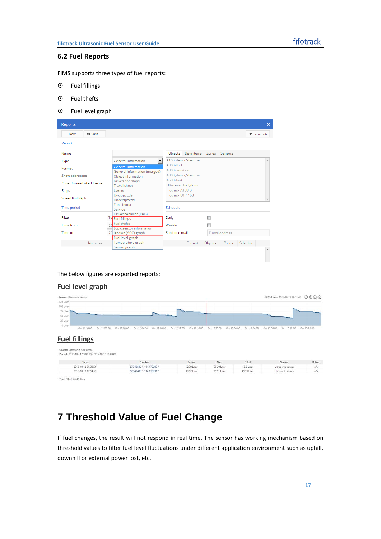#### <span id="page-17-0"></span>**6.2 Fuel Reports**

FIMS supports three types of fuel reports:

- Fuel fillings
- Fuel thefts
- Fuel level graph



The below figures are exported reports:

#### **Fuel level graph**

| Sensor: Ultrasonic sensor<br>125 Liter                      |              |              |                                       |              |              |              |              |              |              |              | 63.55 Liter - 2016-10-12 18:11:46 | $\circledcirc \circledcirc$ |
|-------------------------------------------------------------|--------------|--------------|---------------------------------------|--------------|--------------|--------------|--------------|--------------|--------------|--------------|-----------------------------------|-----------------------------|
| 100 Liter<br>75 Liter<br>50 Liter                           |              |              |                                       |              |              |              |              |              |              |              |                                   |                             |
| 25 Liter<br>0 Liter<br>Oct 11 16:00<br><b>Fuel fillings</b> | Oct 11 20:00 | Oct 12 00:00 | Oct 12 04:00                          | Oct 12 08:00 | Oct 12 12:00 | Oct 12 16:00 | Oct 12 20:00 | Oct 13 00:00 | Oct 13 04:00 | Oct 13 08:00 | Oct 13 12:00                      | Oct 13 16:00                |
| Object: Ultrasonic fuel_demo                                |              |              |                                       |              |              |              |              |              |              |              |                                   |                             |
| Period: 2016-10-11 13:00:00 - 2016-10-13 18:00:00<br>Time:  |              |              |                                       |              |              | Before       | After        |              | Filled       |              | Sensor                            |                             |
| 2016-10-12 06:33:59                                         |              |              | Position<br>27.342533 °, 114.178288 ° |              |              | 52.70 Liter  | 68.20 Liter  |              | 15.5 Liter   |              | Ultrasonic sensor                 | Driver.<br>n/a              |

<span id="page-17-1"></span>Total filled: 65.49 Liter

### **7 Threshold Value of Fuel Change**

If fuel changes, the result will not respond in real time. The sensor has working mechanism based on threshold values to filter fuel level fluctuations under different application environment such as uphill, downhill or external power lost, etc.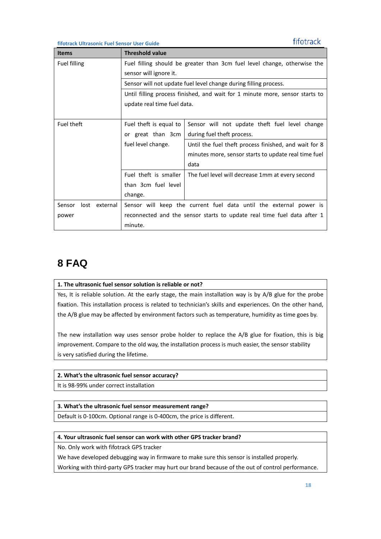fifotrack

**fifotrack Ultrasonic Fuel Sensor User Guide**

| <b>Items</b>            | <b>Threshold value</b>                                                       |                                                                    |  |  |  |  |
|-------------------------|------------------------------------------------------------------------------|--------------------------------------------------------------------|--|--|--|--|
| <b>Fuel filling</b>     | Fuel filling should be greater than 3cm fuel level change, otherwise the     |                                                                    |  |  |  |  |
|                         | sensor will ignore it.                                                       |                                                                    |  |  |  |  |
|                         | Sensor will not update fuel level change during filling process.             |                                                                    |  |  |  |  |
|                         | Until filling process finished, and wait for 1 minute more, sensor starts to |                                                                    |  |  |  |  |
|                         | update real time fuel data.                                                  |                                                                    |  |  |  |  |
|                         |                                                                              |                                                                    |  |  |  |  |
| Fuel theft              | Fuel theft is equal to                                                       | Sensor will not update theft fuel level change                     |  |  |  |  |
|                         | or great than 3cm                                                            | during fuel theft process.                                         |  |  |  |  |
|                         | fuel level change.                                                           | Until the fuel theft process finished, and wait for 8              |  |  |  |  |
|                         |                                                                              | minutes more, sensor starts to update real time fuel               |  |  |  |  |
|                         |                                                                              | data                                                               |  |  |  |  |
|                         | Fuel theft is smaller                                                        | The fuel level will decrease 1mm at every second                   |  |  |  |  |
|                         | than 3cm fuel level                                                          |                                                                    |  |  |  |  |
|                         | change.                                                                      |                                                                    |  |  |  |  |
| lost external<br>Sensor |                                                                              | Sensor will keep the current fuel data until the external power is |  |  |  |  |
| power                   | reconnected and the sensor starts to update real time fuel data after 1      |                                                                    |  |  |  |  |
|                         | minute.                                                                      |                                                                    |  |  |  |  |

# <span id="page-18-0"></span>**8 FAQ**

#### **1. The ultrasonic fuel sensor solution is reliable or not?**

Yes, It is reliable solution. At the early stage, the main installation way is by A/B glue for the probe fixation. This installation process is related to technician's skills and experiences. On the other hand, the A/B glue may be affected by environment factors such as temperature, humidity as time goes by.

The new installation way uses sensor probe holder to replace the A/B glue for fixation, this is big improvement. Compare to the old way, the installation process is much easier, the sensor stability is very satisfied during the lifetime.

### **2. What's the ultrasonic fuel sensor accuracy?**

It is 98-99% under correct installation

### **3. What's the ultrasonic fuel sensor measurement range?**

Default is 0-100cm. Optional range is 0-400cm, the price is different.

### **4. Your ultrasonic fuel sensor can work with other GPS tracker brand?**

No. Only work with fifotrack GPS tracker

We have developed debugging way in firmware to make sure this sensor is installed properly.

Working with third-party GPS tracker may hurt our brand because of the out of control performance.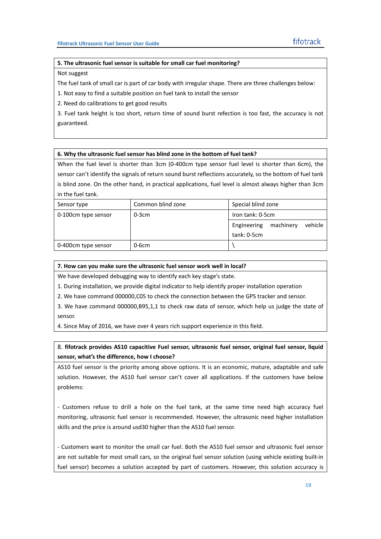#### **5. The ultrasonic fuel sensor is suitable for small car fuel monitoring?**

Not suggest

The fuel tank of small car is part of car body with irregular shape. There are three challenges below:

1. Not easy to find a suitable position on fuel tank to install the sensor

2. Need do calibrations to get good results

3. Fuel tank height is too short, return time of sound burst refection is too fast, the accuracy is not guaranteed.

#### **6. Why the ultrasonic fuel sensor has blind zone in the bottom of fuel tank?**

When the fuel level is shorter than 3cm (0-400cm type sensor fuel level is shorter than 6cm), the sensor can't identify the signals of return sound burst reflections accurately, so the bottom of fuel tank is blind zone. On the other hand, in practical applications, fuel level is almost always higher than 3cm in the fuel tank.

| Sensor type         | Common blind zone | Special blind zone                  |  |  |
|---------------------|-------------------|-------------------------------------|--|--|
| 0-100cm type sensor | $0-3cm$           | Iron tank: 0-5cm                    |  |  |
|                     |                   | Engineering<br>machinery<br>vehicle |  |  |
|                     |                   | tank: 0-5cm                         |  |  |
| 0-400cm type sensor | 0-6cm             |                                     |  |  |

#### **7. How can you make sure the ultrasonic fuel sensor work well in local?**

We have developed debugging way to identify each key stage's state.

1. During installation, we provide digital indicator to help identify proper installation operation

2. We have command 000000,C05 to check the connection between the GPS tracker and sensor.

3. We have command 000000,B95,1,1 to check raw data of sensor, which help us judge the state of sensor.

4. Since May of 2016, we have over 4 years rich support experience in this field.

8. **fifotrack provides AS10 capacitive Fuel sensor, ultrasonic fuel sensor, original fuel sensor, liquid sensor, what's the difference, how I choose?** 

AS10 fuel sensor is the priority among above options. It is an economic, mature, adaptable and safe solution. However, the AS10 fuel sensor can't cover all applications. If the customers have below problems:

- Customers refuse to drill a hole on the fuel tank, at the same time need high accuracy fuel monitoring, ultrasonic fuel sensor is recommended. However, the ultrasonic need higher installation skills and the price is around usd30 higher than the AS10 fuel sensor.

- Customers want to monitor the small car fuel. Both the AS10 fuel sensor and ultrasonic fuel sensor are not suitable for most small cars, so the original fuel sensor solution (using vehicle existing built-in fuel sensor) becomes a solution accepted by part of customers. However, this solution accuracy is